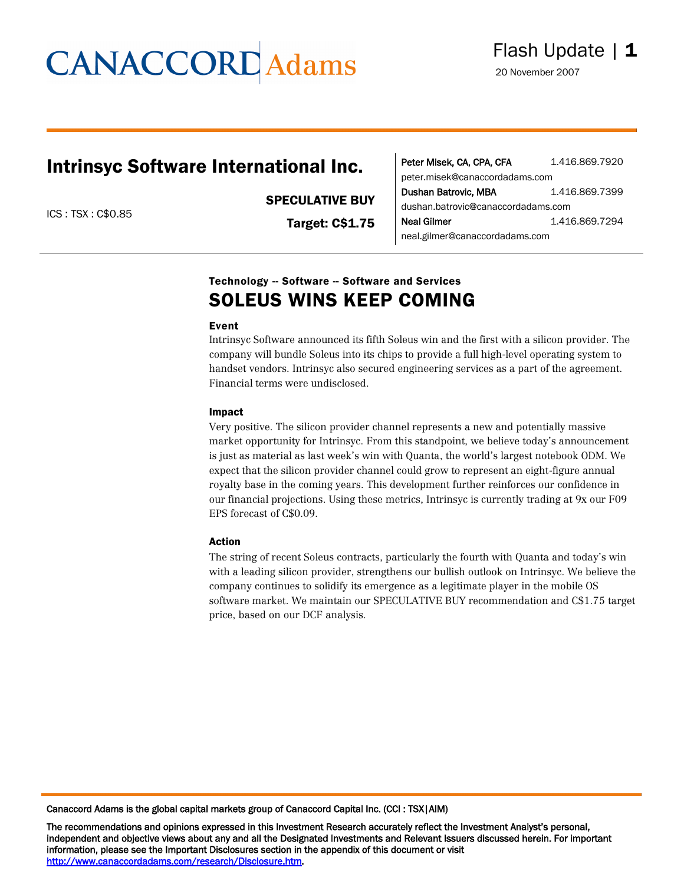# **CANACCORD** Adams

## Intrinsyc Software International Inc.

SPECULATIVE BUY

ICS : TSX : C\$0.85

Target: C\$1.75

| Peter Misek, CA, CPA, CFA          | 1.416.869.7920 |  |  |
|------------------------------------|----------------|--|--|
| peter.misek@canaccordadams.com     |                |  |  |
| Dushan Batrovic, MBA               | 1.416.869.7399 |  |  |
| dushan.batrovic@canaccordadams.com |                |  |  |
| <b>Neal Gilmer</b>                 | 1.416.869.7294 |  |  |
| neal.gilmer@canaccordadams.com     |                |  |  |

## Technology -- Software -- Software and Services SOLEUS WINS KEEP COMING

## Event

Intrinsyc Software announced its fifth Soleus win and the first with a silicon provider. The company will bundle Soleus into its chips to provide a full high-level operating system to handset vendors. Intrinsyc also secured engineering services as a part of the agreement. Financial terms were undisclosed.

### Impact

Very positive. The silicon provider channel represents a new and potentially massive market opportunity for Intrinsyc. From this standpoint, we believe today's announcement is just as material as last week's win with Quanta, the world's largest notebook ODM. We expect that the silicon provider channel could grow to represent an eight-figure annual royalty base in the coming years. This development further reinforces our confidence in our financial projections. Using these metrics, Intrinsyc is currently trading at 9x our F09 EPS forecast of C\$0.09.

### Action

The string of recent Soleus contracts, particularly the fourth with Quanta and today's win with a leading silicon provider, strengthens our bullish outlook on Intrinsyc. We believe the company continues to solidify its emergence as a legitimate player in the mobile OS software market. We maintain our SPECULATIVE BUY recommendation and C\$1.75 target price, based on our DCF analysis.

Canaccord Adams is the global capital markets group of Canaccord Capital Inc. (CCI : TSX|AIM)

The recommendations and opinions expressed in this Investment Research accurately reflect the Investment Analyst's personal, independent and objective views about any and all the Designated Investments and Relevant Issuers discussed herein. For important information, please see the Important Disclosures section in the appendix of this document or visit http://www.canaccordadams.com/research/Disclosure.htm.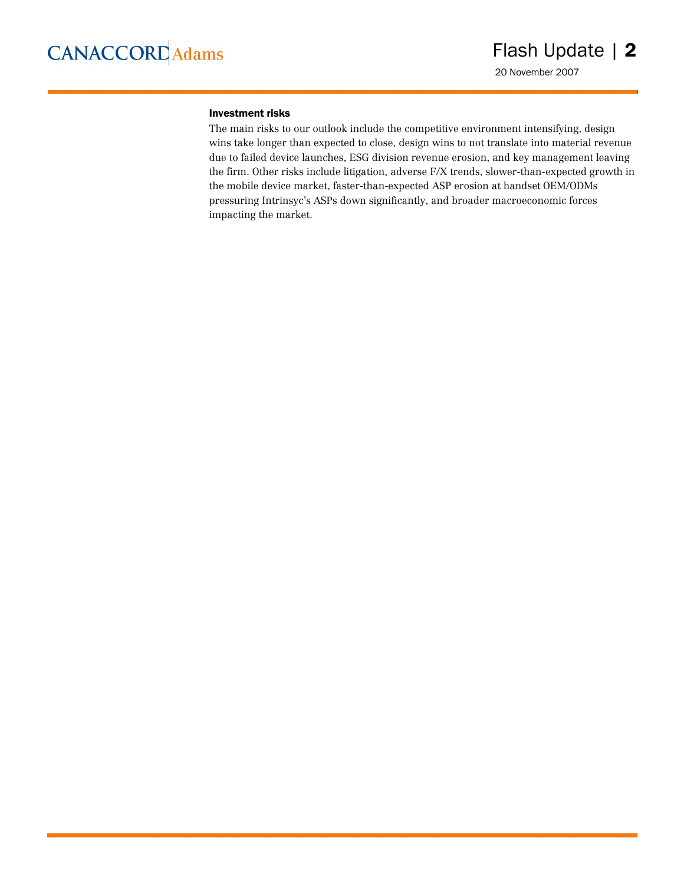### Investment risks

The main risks to our outlook include the competitive environment intensifying, design wins take longer than expected to close, design wins to not translate into material revenue due to failed device launches, ESG division revenue erosion, and key management leaving the firm. Other risks include litigation, adverse F/X trends, slower-than-expected growth in the mobile device market, faster-than-expected ASP erosion at handset OEM/ODMs pressuring Intrinsyc's ASPs down significantly, and broader macroeconomic forces impacting the market.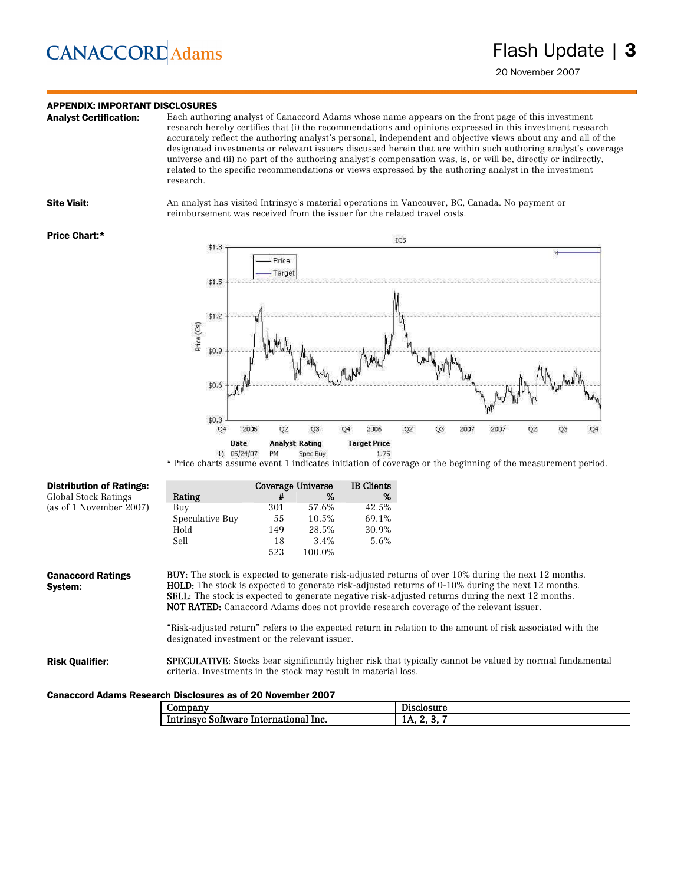## **CANACCORD** Adams

## **APPENDIX: IMPORTANT DISCLOSURES**<br>**Analyst Certification:** Each author

Each authoring analyst of Canaccord Adams whose name appears on the front page of this investment research hereby certifies that (i) the recommendations and opinions expressed in this investment research accurately reflect the authoring analyst's personal, independent and objective views about any and all of the designated investments or relevant issuers discussed herein that are within such authoring analyst's coverage universe and (ii) no part of the authoring analyst's compensation was, is, or will be, directly or indirectly, related to the specific recommendations or views expressed by the authoring analyst in the investment research.

Site Visit: An analyst has visited Intrinsyc's material operations in Vancouver, BC, Canada. No payment or reimbursement was received from the issuer for the related travel costs.

#### Price Chart:\*



\* Price charts assume event 1 indicates initiation of coverage or the beginning of the measurement period.

| <b>Distribution of Ratings:</b>     |                                               |     | Coverage Universe | <b>IB</b> Clients |                                                                                                                                                                                                                        |
|-------------------------------------|-----------------------------------------------|-----|-------------------|-------------------|------------------------------------------------------------------------------------------------------------------------------------------------------------------------------------------------------------------------|
| <b>Global Stock Ratings</b>         | Rating                                        | #   | %                 | %                 |                                                                                                                                                                                                                        |
| (as of 1 November 2007)             | Buy                                           | 301 | 57.6%             | 42.5%             |                                                                                                                                                                                                                        |
|                                     | Speculative Buy                               | 55  | 10.5%             | 69.1%             |                                                                                                                                                                                                                        |
|                                     | Hold                                          | 149 | 28.5%             | 30.9%             |                                                                                                                                                                                                                        |
|                                     | Sell                                          | 18  | 3.4%              | 5.6%              |                                                                                                                                                                                                                        |
|                                     |                                               | 523 | 100.0%            |                   |                                                                                                                                                                                                                        |
| <b>Canaccord Ratings</b><br>Svstem: |                                               |     |                   |                   | <b>BUY:</b> The stock is expected to generate risk-adjusted returns of over 10% during the next 12 months.<br><b>HOLD:</b> The stock is expected to generate risk-adjusted returns of 0-10% during the next 12 months. |
|                                     |                                               |     |                   |                   | <b>SELL:</b> The stock is expected to generate negative risk-adjusted returns during the next 12 months.<br><b>NOT RATED:</b> Canaccord Adams does not provide research coverage of the relevant issuer.               |
|                                     | designated investment or the relevant issuer. |     |                   |                   | "Risk-adjusted return" refers to the expected return in relation to the amount of risk associated with the                                                                                                             |
|                                     |                                               |     |                   |                   |                                                                                                                                                                                                                        |

#### Canaccord Adams Research Disclosures as of 20 November 2007

| -----<br>uar-<br>∪∪ш                                                              | $\sim$<br>----<br>,,,<br>- -<br>. |
|-----------------------------------------------------------------------------------|-----------------------------------|
| <u>Int</u><br>lnc.<br>----<br>10777<br>70 T<br>.<br>пг<br>не<br>עיש ו<br>л.<br>-- | .,<br>-43<br>Tи<br>               |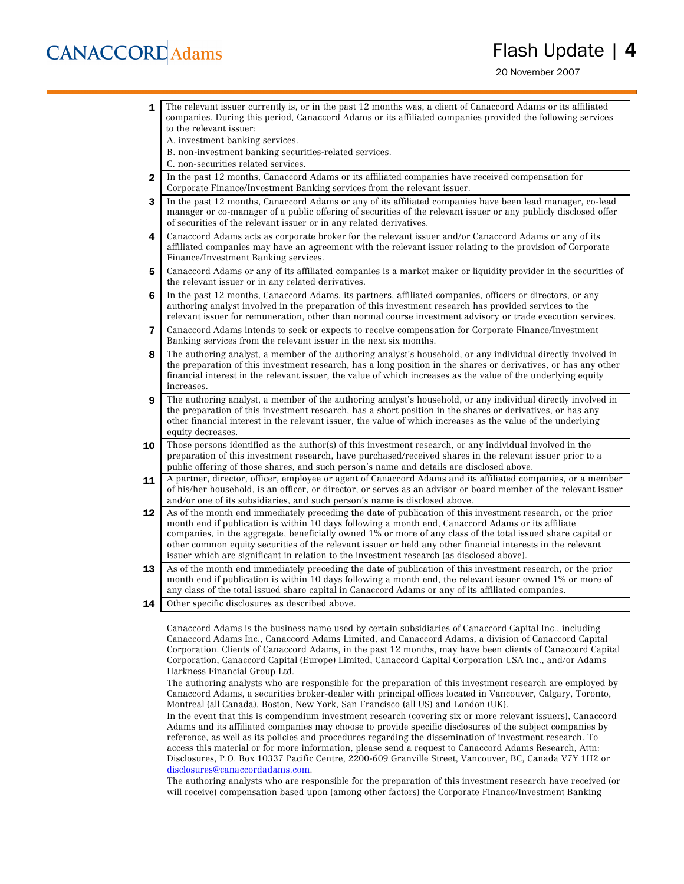## **CANACCORD** Adams

## Flash Update | 4

20 November 2007

1 The relevant issuer currently is, or in the past 12 months was, a client of Canaccord Adams or its affiliated companies. During this period, Canaccord Adams or its affiliated companies provided the following services to the relevant issuer: A. investment banking services. B. non-investment banking securities-related services. C. non-securities related services. 2 In the past 12 months, Canaccord Adams or its affiliated companies have received compensation for Corporate Finance/Investment Banking services from the relevant issuer. 3 In the past 12 months, Canaccord Adams or any of its affiliated companies have been lead manager, co-lead manager or co-manager of a public offering of securities of the relevant issuer or any publicly disclosed offer of securities of the relevant issuer or in any related derivatives. 4 Canaccord Adams acts as corporate broker for the relevant issuer and/or Canaccord Adams or any of its affiliated companies may have an agreement with the relevant issuer relating to the provision of Corporate Finance/Investment Banking services. 5 Canaccord Adams or any of its affiliated companies is a market maker or liquidity provider in the securities of the relevant issuer or in any related derivatives. 6 In the past 12 months, Canaccord Adams, its partners, affiliated companies, officers or directors, or any authoring analyst involved in the preparation of this investment research has provided services to the relevant issuer for remuneration, other than normal course investment advisory or trade execution services. 7 Canaccord Adams intends to seek or expects to receive compensation for Corporate Finance/Investment Banking services from the relevant issuer in the next six months. 8 The authoring analyst, a member of the authoring analyst's household, or any individual directly involved in the preparation of this investment research, has a long position in the shares or derivatives, or has any other financial interest in the relevant issuer, the value of which increases as the value of the underlying equity increases. **9** The authoring analyst, a member of the authoring analyst's household, or any individual directly involved in the preparation of this investment research, has a short position in the shares or derivatives, or has any other financial interest in the relevant issuer, the value of which increases as the value of the underlying equity decreases. **10** Those persons identified as the author(s) of this investment research, or any individual involved in the preparation of this investment research, have purchased/received shares in the relevant issuer prior to a public offering of those shares, and such person's name and details are disclosed above. 11 A partner, director, officer, employee or agent of Canaccord Adams and its affiliated companies, or a member of his/her household, is an officer, or director, or serves as an advisor or board member of the relevant issuer and/or one of its subsidiaries, and such person's name is disclosed above. 12 As of the month end immediately preceding the date of publication of this investment research, or the prior month end if publication is within 10 days following a month end, Canaccord Adams or its affiliate companies, in the aggregate, beneficially owned 1% or more of any class of the total issued share capital or other common equity securities of the relevant issuer or held any other financial interests in the relevant issuer which are significant in relation to the investment research (as disclosed above). 13 As of the month end immediately preceding the date of publication of this investment research, or the prior month end if publication is within 10 days following a month end, the relevant issuer owned 1% or more of any class of the total issued share capital in Canaccord Adams or any of its affiliated companies. **14** Other specific disclosures as described above.

Canaccord Adams is the business name used by certain subsidiaries of Canaccord Capital Inc., including Canaccord Adams Inc., Canaccord Adams Limited, and Canaccord Adams, a division of Canaccord Capital Corporation. Clients of Canaccord Adams, in the past 12 months, may have been clients of Canaccord Capital Corporation, Canaccord Capital (Europe) Limited, Canaccord Capital Corporation USA Inc., and/or Adams Harkness Financial Group Ltd.

The authoring analysts who are responsible for the preparation of this investment research are employed by Canaccord Adams, a securities broker-dealer with principal offices located in Vancouver, Calgary, Toronto, Montreal (all Canada), Boston, New York, San Francisco (all US) and London (UK).

In the event that this is compendium investment research (covering six or more relevant issuers), Canaccord Adams and its affiliated companies may choose to provide specific disclosures of the subject companies by reference, as well as its policies and procedures regarding the dissemination of investment research. To access this material or for more information, please send a request to Canaccord Adams Research, Attn: Disclosures, P.O. Box 10337 Pacific Centre, 2200-609 Granville Street, Vancouver, BC, Canada V7Y 1H2 or disclosures@canaccordadams.com.

The authoring analysts who are responsible for the preparation of this investment research have received (or will receive) compensation based upon (among other factors) the Corporate Finance/Investment Banking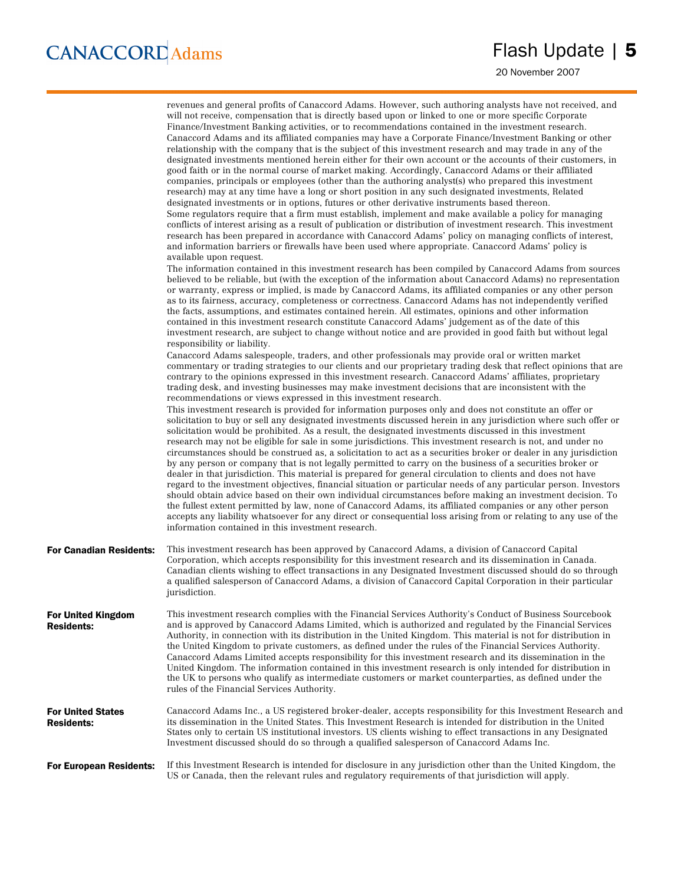20 November 2007

|                                               | revenues and general profits of Canaccord Adams. However, such authoring analysts have not received, and<br>will not receive, compensation that is directly based upon or linked to one or more specific Corporate<br>Finance/Investment Banking activities, or to recommendations contained in the investment research.<br>Canaccord Adams and its affiliated companies may have a Corporate Finance/Investment Banking or other<br>relationship with the company that is the subject of this investment research and may trade in any of the<br>designated investments mentioned herein either for their own account or the accounts of their customers, in<br>good faith or in the normal course of market making. Accordingly, Canaccord Adams or their affiliated<br>companies, principals or employees (other than the authoring analyst(s) who prepared this investment<br>research) may at any time have a long or short position in any such designated investments, Related<br>designated investments or in options, futures or other derivative instruments based thereon.<br>Some regulators require that a firm must establish, implement and make available a policy for managing<br>conflicts of interest arising as a result of publication or distribution of investment research. This investment<br>research has been prepared in accordance with Canaccord Adams' policy on managing conflicts of interest,<br>and information barriers or firewalls have been used where appropriate. Canaccord Adams' policy is                                                                                                                                                                                                                                                                                                   |
|-----------------------------------------------|-----------------------------------------------------------------------------------------------------------------------------------------------------------------------------------------------------------------------------------------------------------------------------------------------------------------------------------------------------------------------------------------------------------------------------------------------------------------------------------------------------------------------------------------------------------------------------------------------------------------------------------------------------------------------------------------------------------------------------------------------------------------------------------------------------------------------------------------------------------------------------------------------------------------------------------------------------------------------------------------------------------------------------------------------------------------------------------------------------------------------------------------------------------------------------------------------------------------------------------------------------------------------------------------------------------------------------------------------------------------------------------------------------------------------------------------------------------------------------------------------------------------------------------------------------------------------------------------------------------------------------------------------------------------------------------------------------------------------------------------------------------------------------------------------------------------------------------------|
|                                               | available upon request.<br>The information contained in this investment research has been compiled by Canaccord Adams from sources<br>believed to be reliable, but (with the exception of the information about Canaccord Adams) no representation<br>or warranty, express or implied, is made by Canaccord Adams, its affiliated companies or any other person<br>as to its fairness, accuracy, completeness or correctness. Canaccord Adams has not independently verified<br>the facts, assumptions, and estimates contained herein. All estimates, opinions and other information<br>contained in this investment research constitute Canaccord Adams' judgement as of the date of this<br>investment research, are subject to change without notice and are provided in good faith but without legal<br>responsibility or liability.                                                                                                                                                                                                                                                                                                                                                                                                                                                                                                                                                                                                                                                                                                                                                                                                                                                                                                                                                                                               |
|                                               | Canaccord Adams salespeople, traders, and other professionals may provide oral or written market<br>commentary or trading strategies to our clients and our proprietary trading desk that reflect opinions that are<br>contrary to the opinions expressed in this investment research. Canaccord Adams' affiliates, proprietary<br>trading desk, and investing businesses may make investment decisions that are inconsistent with the<br>recommendations or views expressed in this investment research.<br>This investment research is provided for information purposes only and does not constitute an offer or<br>solicitation to buy or sell any designated investments discussed herein in any jurisdiction where such offer or<br>solicitation would be prohibited. As a result, the designated investments discussed in this investment<br>research may not be eligible for sale in some jurisdictions. This investment research is not, and under no<br>circumstances should be construed as, a solicitation to act as a securities broker or dealer in any jurisdiction<br>by any person or company that is not legally permitted to carry on the business of a securities broker or<br>dealer in that jurisdiction. This material is prepared for general circulation to clients and does not have<br>regard to the investment objectives, financial situation or particular needs of any particular person. Investors<br>should obtain advice based on their own individual circumstances before making an investment decision. To<br>the fullest extent permitted by law, none of Canaccord Adams, its affiliated companies or any other person<br>accepts any liability whatsoever for any direct or consequential loss arising from or relating to any use of the<br>information contained in this investment research. |
| <b>For Canadian Residents:</b>                | This investment research has been approved by Canaccord Adams, a division of Canaccord Capital<br>Corporation, which accepts responsibility for this investment research and its dissemination in Canada.<br>Canadian clients wishing to effect transactions in any Designated Investment discussed should do so through<br>a qualified salesperson of Canaccord Adams, a division of Canaccord Capital Corporation in their particular<br>jurisdiction.                                                                                                                                                                                                                                                                                                                                                                                                                                                                                                                                                                                                                                                                                                                                                                                                                                                                                                                                                                                                                                                                                                                                                                                                                                                                                                                                                                                |
| For United Kingdom<br><b>Residents:</b>       | This investment research complies with the Financial Services Authority's Conduct of Business Sourcebook<br>and is approved by Canaccord Adams Limited, which is authorized and regulated by the Financial Services<br>Authority, in connection with its distribution in the United Kingdom. This material is not for distribution in<br>the United Kingdom to private customers, as defined under the rules of the Financial Services Authority.<br>Canaccord Adams Limited accepts responsibility for this investment research and its dissemination in the<br>United Kingdom. The information contained in this investment research is only intended for distribution in<br>the UK to persons who qualify as intermediate customers or market counterparties, as defined under the<br>rules of the Financial Services Authority.                                                                                                                                                                                                                                                                                                                                                                                                                                                                                                                                                                                                                                                                                                                                                                                                                                                                                                                                                                                                     |
| <b>For United States</b><br><b>Residents:</b> | Canaccord Adams Inc., a US registered broker-dealer, accepts responsibility for this Investment Research and<br>its dissemination in the United States. This Investment Research is intended for distribution in the United<br>States only to certain US institutional investors. US clients wishing to effect transactions in any Designated<br>Investment discussed should do so through a qualified salesperson of Canaccord Adams Inc.                                                                                                                                                                                                                                                                                                                                                                                                                                                                                                                                                                                                                                                                                                                                                                                                                                                                                                                                                                                                                                                                                                                                                                                                                                                                                                                                                                                              |
| <b>For European Residents:</b>                | If this Investment Research is intended for disclosure in any jurisdiction other than the United Kingdom, the<br>US or Canada, then the relevant rules and regulatory requirements of that jurisdiction will apply.                                                                                                                                                                                                                                                                                                                                                                                                                                                                                                                                                                                                                                                                                                                                                                                                                                                                                                                                                                                                                                                                                                                                                                                                                                                                                                                                                                                                                                                                                                                                                                                                                     |